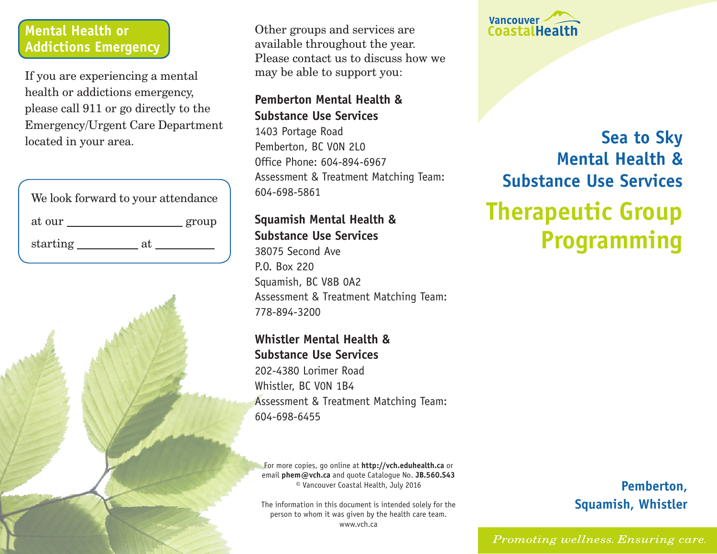#### **Mental Health or Addictions Emergency**

If you are experiencing a mental health or addictions emergency, please call 911 or go directly to the Emergency/Urgent Care Department located in your area.

| We look forward to your attendance |       |
|------------------------------------|-------|
| at our                             | group |
| starting<br>яt.                    |       |

Other groups and services are available throughout the year. Please contact us to discuss how we may be able to support you:

#### **Pemberton Mental Health & Substance Use Services**

1403 Portage Road Pemberton, BC V0N 2L0 Office Phone: 604-894-6967 Assessment & Treatment Matching Team: 604-698-5861

#### **Squamish Mental Health & Substance Use Services**

38075 Second Ave P.O. Box 220 Squamish, BC V8B 0A2 Assessment & Treatment Matching Team: 778-894-3200

#### **Whistler Mental Health & Substance Use Services**

202-4380 Lorimer Road Whistler, BC V0N 1B4 Assessment & Treatment Matching Team: 604-698-6455

For more copies, go online at **http://vch.eduhealth.ca** or email **phem@vch.ca** and quote Catalogue No. **JB.560.S43**  © Vancouver Coastal Health, July 2016

The information in this document is intended solely for the person to whom it was given by the health care team. www.vch.ca



# **Sea to Sky Mental Health & Substance Use Services Therapeutic Group Programming**

## **Pemberton, Squamish, Whistler**

Promoting wellness. Ensuring care.